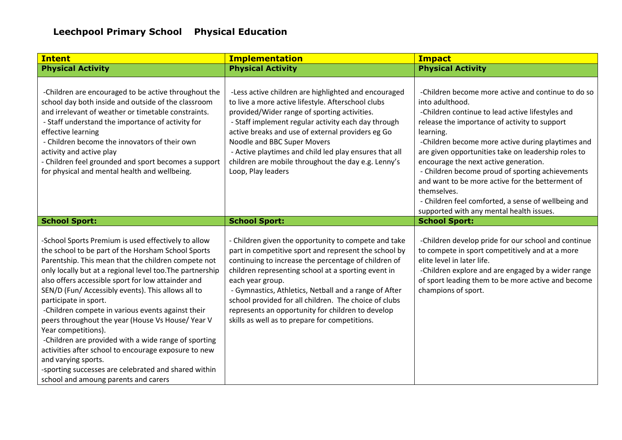| <b>Intent</b>                                                                                                                                                                                                                                                                                                                                                                                                                                                                                                                                                                                                                                                                                                                             | <b>Implementation</b>                                                                                                                                                                                                                                                                                                                                                                                                                                                     | <b>Impact</b>                                                                                                                                                                                                                                                                                                                                                                                                                                                                                                                                                          |
|-------------------------------------------------------------------------------------------------------------------------------------------------------------------------------------------------------------------------------------------------------------------------------------------------------------------------------------------------------------------------------------------------------------------------------------------------------------------------------------------------------------------------------------------------------------------------------------------------------------------------------------------------------------------------------------------------------------------------------------------|---------------------------------------------------------------------------------------------------------------------------------------------------------------------------------------------------------------------------------------------------------------------------------------------------------------------------------------------------------------------------------------------------------------------------------------------------------------------------|------------------------------------------------------------------------------------------------------------------------------------------------------------------------------------------------------------------------------------------------------------------------------------------------------------------------------------------------------------------------------------------------------------------------------------------------------------------------------------------------------------------------------------------------------------------------|
| <b>Physical Activity</b>                                                                                                                                                                                                                                                                                                                                                                                                                                                                                                                                                                                                                                                                                                                  | <b>Physical Activity</b>                                                                                                                                                                                                                                                                                                                                                                                                                                                  | <b>Physical Activity</b>                                                                                                                                                                                                                                                                                                                                                                                                                                                                                                                                               |
| -Children are encouraged to be active throughout the<br>school day both inside and outside of the classroom<br>and irrelevant of weather or timetable constraints.<br>- Staff understand the importance of activity for<br>effective learning<br>- Children become the innovators of their own<br>activity and active play<br>- Children feel grounded and sport becomes a support<br>for physical and mental health and wellbeing.                                                                                                                                                                                                                                                                                                       | -Less active children are highlighted and encouraged<br>to live a more active lifestyle. Afterschool clubs<br>provided/Wider range of sporting activities.<br>- Staff implement regular activity each day through<br>active breaks and use of external providers eg Go<br>Noodle and BBC Super Movers<br>- Active playtimes and child led play ensures that all<br>children are mobile throughout the day e.g. Lenny's<br>Loop, Play leaders                              | -Children become more active and continue to do so<br>into adulthood.<br>-Children continue to lead active lifestyles and<br>release the importance of activity to support<br>learning.<br>-Children become more active during playtimes and<br>are given opportunities take on leadership roles to<br>encourage the next active generation.<br>- Children become proud of sporting achievements<br>and want to be more active for the betterment of<br>themselves.<br>- Children feel comforted, a sense of wellbeing and<br>supported with any mental health issues. |
| <b>School Sport:</b>                                                                                                                                                                                                                                                                                                                                                                                                                                                                                                                                                                                                                                                                                                                      | <b>School Sport:</b>                                                                                                                                                                                                                                                                                                                                                                                                                                                      | <b>School Sport:</b>                                                                                                                                                                                                                                                                                                                                                                                                                                                                                                                                                   |
| -School Sports Premium is used effectively to allow<br>the school to be part of the Horsham School Sports<br>Parentship. This mean that the children compete not<br>only locally but at a regional level too. The partnership<br>also offers accessible sport for low attainder and<br>SEN/D (Fun/ Accessibly events). This allows all to<br>participate in sport.<br>-Children compete in various events against their<br>peers throughout the year (House Vs House/Year V<br>Year competitions).<br>-Children are provided with a wide range of sporting<br>activities after school to encourage exposure to new<br>and varying sports.<br>-sporting successes are celebrated and shared within<br>school and amoung parents and carers | - Children given the opportunity to compete and take<br>part in competitive sport and represent the school by<br>continuing to increase the percentage of children of<br>children representing school at a sporting event in<br>each year group.<br>- Gymnastics, Athletics, Netball and a range of After<br>school provided for all children. The choice of clubs<br>represents an opportunity for children to develop<br>skills as well as to prepare for competitions. | -Children develop pride for our school and continue<br>to compete in sport competitively and at a more<br>elite level in later life.<br>-Children explore and are engaged by a wider range<br>of sport leading them to be more active and become<br>champions of sport.                                                                                                                                                                                                                                                                                                |